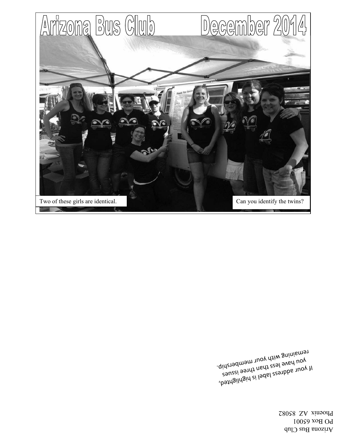Arizona Bus Club PO Box 65001 Phoenix AZ 85082

If your address label is highlighted, you have less than three issues remaining with your membership.

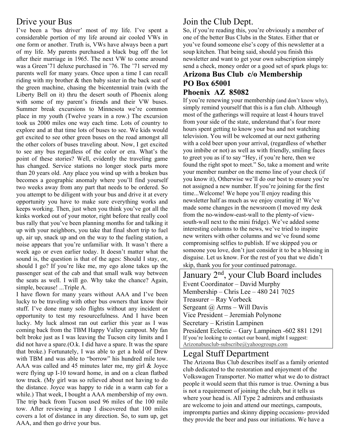## Drive your Bus

I've been a 'bus driver' most of my life. I've spent a considerable portion of my life around air cooled VWs in one form or another. Truth is, VWs have always been a part of my life. My parents purchased a black bug off the lot after their marriage in 1965. The next VW to come around was a Green'71 deluxe purchased in '76. The '71 served my parents well for many years. Once upon a time I can recall riding with my brother & then baby sister in the back seat of the green machine, chasing the bicentennial train (with the Liberty Bell on it) thru the desert south of Phoenix along with some of my parent's friends and their VW buses. Summer break excursions to Minnesota we're common place in my youth (Twelve years in a row.) The excursion took us 2000 miles one way each time. Lots of country to explore and at that time lots of buses to see. We kids would get excited to see other green buses on the road amongst all the other colors of buses traveling about. Now, I get excited to see any bus regardless of the color or era. What's the point of these stories? Well, evidently the traveling game has changed. Service stations no longer stock parts more than 20 years old. Any place you wind up with a broken bus becomes a geographic anomaly where you'll find yourself two weeks away from any part that needs to be ordered. So you attempt to be diligent with your bus and drive it at every opportunity you have to make sure everything works and keeps working. Then, just when you think you've got all the kinks worked out of your motor, right before that really cool bus rally that you've been planning months for and talking it up with your neighbors, you take that final short trip to fuel up, air up, snack up and on the way to the fueling station, a noise appears that you're unfamiliar with. It wasn't there a week ago or even earlier today. It doesn't matter what the sound is, the question is that of the ages: Should I stay, or, should I go? If you're like me, my ego alone takes up the passenger seat of the cab and that small walk way between the seats as well. I will go. Why take the chance? Again, simple, because! ...Triple A.

I have flown for many years without AAA and I've been lucky to be traveling with other bus owners that know their stuff. I've done many solo flights without any incident or opportunity to test my resourcefulness. And I have been lucky. My luck almost ran out earlier this year as I was coming back from the TBM Happy Valley campout. My fan belt broke just as I was leaving the Tucson city limits and I did not have a spare.(O.k. I did have a spare. It was the spare that broke.) Fortunately, I was able to get a hold of Drew with TBM and was able to "borrow" his hundred mile tow. AAA was called and 45 minutes later me, my girl & Joyce were flying up I-10 toward home, in and on a clean flatbed tow truck. (My girl was so relieved about not having to do the distance. Joyce was happy to ride in a warm cab for a while.) That week, I bought a AAA membership of my own. The trip back from Tucson used 96 miles of the 100 mile tow. After reviewing a map I discovered that 100 miles covers a lot of distance in any direction. So, to sum up, get AAA, and then go drive your bus.

# Join the Club Dept.

So, if you're reading this, you're obviously a member of one of the better Bus Clubs in the States. Either that or you've found someone else's copy of this newsletter at a soup kitchen. That being said, should you finish this newsletter and want to get your own subscription simply send a check, money order or a good set of spark plugs to:

#### **Arizona Bus Club c/o Membership PO Box 65001 Phoenix AZ 85082**

If you're renewing your membership (and don't know why), simply remind yourself that this is a fun club. Although most of the gatherings will require at least 4 hours travel from your side of the state, understand that's four more hours spent getting to know your bus and not watching television. You will be welcomed at our next gathering with a cold beer upon your arrival, (regardless of whether you imbibe or not) as well as with friendly, smiling faces to greet you as if to say "Hey, if you're here, then we found the right spot to meet." So, take a moment and write your member number on the memo line of your check (if you know it), Otherwise we'll do our best to ensure you're not assigned a new number. If you're joining for the first time...Welcome! We hope you'll enjoy reading this newsletter half as much as we enjoy creating it! We've made some changes in the newsroom (I moved my desk from the no-window-east-wall to the plenty-of viewsouth-wall next to the mini fridge). We've added some interesting columns to the news, we've tried to inspire new writers with other columns and we've found some compromising selfies to publish. If we skipped you or someone you love, don't just consider it to be a blessing in disguise. Let us know. For the rest of you that we didn't skip, thank you for your continued patronage.

January 2<sup>nd</sup>, your Club Board includes Event Coordinator – David Murphy Membership – Chris Lee – 480 241 7025 Treasurer – Ray Vorbeck Sergeant  $\omega$  Arms – Will Davis Vice President – Jeremiah Polynone Secretary – Kristin Lampinen President Eclectic – Gary Lampinen -602 881 1291 If you're looking to contact our board, might I suggest: Arizonabusclub-subscribe@yahoogroups.com

### Legal Stuff Department

The Arizona Bus Club describes itself as a family oriented club dedicated to the restoration and enjoyment of the Volkswagen Transporter. No matter what we do to distract people it would seem that this rumor is true. Owning a bus is not a requirement of joining the club, but it tells us where your head is. All Type 2 admirers and enthusiasts are welcome to join and attend our meetings, campouts, impromptu parties and skinny dipping occasions- provided they provide the beer and pass our initiations. We have a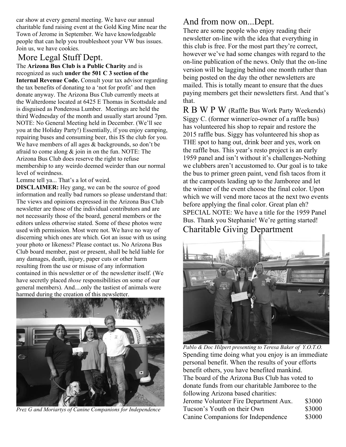car show at every general meeting. We have our annual charitable fund raising event at the Gold King Mine near the Town of Jerome in September. We have knowledgeable people that can help you troubleshoot your VW bus issues. Join us, we have cookies.

## More Legal Stuff Dept.

The **Arizona Bus Club is a Public Charity** and is recognized as such **under the 501 C 3 section of the Internal Revenue Code.** Consult your tax advisor regarding the tax benefits of donating to a 'not for profit' and then donate anyway. The Arizona Bus Club currently meets at the Walterdome located at 6425 E Thomas in Scottsdale and is disguised as Ponderosa Lumber. Meetings are held the third Wednesday of the month and usually start around 7pm. NOTE: No General Meeting held in December. (We'll see you at the Holiday Party!) Essentially, if you enjoy camping, repairing buses and consuming beer, this IS the club for you. We have members of all ages & backgrounds, so don't be afraid to come along  $\&$  join in on the fun. NOTE: The Arizona Bus Club does reserve the right to refuse membership to any weirdo deemed weirder than our normal level of weirdness.

Lemme tell ya... That's a lot of weird.

**DISCLAIMER:** Hey gang, we can be the source of good information and really bad rumors so please understand that: The views and opinions expressed in the Arizona Bus Club newsletter are those of the individual contributors and are not necessarily those of the board, general members or the editors unless otherwise stated. Some of these photos were used with permission. Most were not. We have no way of discerning which ones are which. Got an issue with us using your photo or likeness? Please contact us. No Arizona Bus Club board member, past or present, shall be held liable for any damages, death, injury, paper cuts or other harm resulting from the use or misuse of any information contained in this newsletter or of the newsletter itself. (We have secretly placed *those* responsibilities on some of our general members). And....only the tastiest of animals were harmed during the creation of this newsletter.



*Prez G and Moriartys of Canine Companions for Independence*

# And from now on...Dept.

There are some people who enjoy reading their newsletter on-line with the idea that everything in this club is free. For the most part they're correct, however we've had some changes with regard to the on-line publication of the news. Only that the on-line version will be lagging behind one month rather than being posted on the day the other newsletters are mailed. This is totally meant to ensure that the dues paying members get their newsletters first. And that's that.

R B W P W (Raffle Bus Work Party Weekends) Siggy C. (former winner/co-owner of a raffle bus) has volunteered his shop to repair and restore the 2015 raffle bus. Siggy has volunteered his shop as THE spot to hang out, drink beer and yes, work on the raffle bus. This year's resto project is an early 1959 panel and isn't without it's challenges-Nothing we clubbers aren't accustomed to. Our goal is to take the bus to primer green paint, vend fish tacos from it at the campouts leading up to the Jamboree and let the winner of the event choose the final color. Upon which we will vend more tacos at the next two events before applying the final color. Great plan eh? SPECIAL NOTE: We have a title for the 1959 Panel Bus. Thank you Stephanie! We're getting started! Charitable Giving Department



*Pablo & Doc Hilpert presenting to Teresa Baker of Y.O.T.O.*  Spending time doing what you enjoy is an immediate personal benefit. When the results of your efforts benefit others, you have benefited mankind. The board of the Arizona Bus Club has voted to donate funds from our charitable Jamboree to the following Arizona based charities:

| Jerome Volunteer Fire Department Aux. | \$3000 |
|---------------------------------------|--------|
| Tucson's Youth on their Own           | \$3000 |
| Canine Companions for Independence    | \$3000 |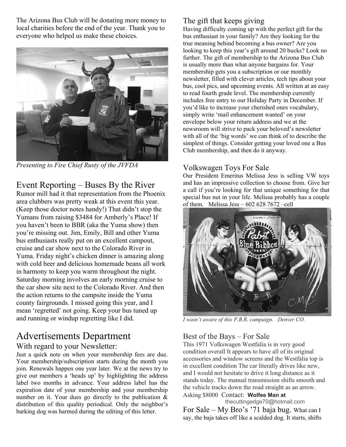The Arizona Bus Club will be donating more money to local charities before the end of the year. Thank you to everyone who helped us make these choices.



*Presenting to Fire Chief Rusty of the JVFDA* 

Event Reporting – Buses By the River

Rumor mill had it that representation from the Phoenix area clubbers was pretty weak at this event this year. (Keep those doctor notes handy!) That didn't stop the Yumans from raising \$3484 for Amberly's Place! If you haven't been to BBR (aka the Yuma show) then you're missing out. Jim, Emily, Bill and other Yuma bus enthusiasts really put on an excellent campout, cruise and car show next to the Colorado River in Yuma. Friday night's chicken dinner is amazing along with cold beer and delicious homemade beans all work in harmony to keep you warm throughout the night. Saturday morning involves an early morning cruise to the car show site next to the Colorado River. And then the action returns to the campsite inside the Yuma county fairgrounds. I missed going this year, and I mean 'regretted' not going. Keep your bus tuned up and running or windup regretting like I did.

# Advertisements Department

### With regard to your Newsletter:

Just a quick note on when your membership fees are due. Your membership/subscription starts during the month you join. Renewals happen one year later. We at the news try to give our members a 'heads up' by highlighting the address label two months in advance. Your address label has the expiration date of your membership and your membership number on it. Your dues go directly to the publication  $\&$ distribution of this quality periodical. Only the neighbor's barking dog was harmed during the editing of this letter.

# The gift that keeps giving

Having difficulty coming up with the perfect gift for the bus enthusiast in your family? Are they looking for the true meaning behind becoming a bus owner? Are you looking to keep this year's gift around 20 bucks? Look no further. The gift of membership to the Arizona Bus Club is usually more than what anyone bargains for. Your membership gets you a subscription or our monthly newsletter, filled with clever articles, tech tips about your bus, cool pics, and upcoming events. All written at an easy to read fourth grade level. The membership currently includes free entry to our Holiday Party in December. If you'd like to increase your cherished ones vocabulary, simply write 'mail enhancement wanted' on your envelope below your return address and we at the newsroom will strive to pack your beloved's newsletter with all of the 'big words' we can think of to describe the simplest of things. Consider getting your loved one a Bus Club membership, and then do it anyway.

### Volkswagen Toys For Sale

Our President Emeritus Melissa Jess is selling VW toys and has an impressive collection to choose from. Give her a call if you're looking for that unique something for that special bus nut in your life. Melissa probably has a couple of them. Melissa Jess  $-6026287672$  -cell



*I wasn't aware of this P.B.R. campaign. Denver CO.* 

### Best of the Bays – For Sale

This 1971 Volkswagen Westfalia is in very good condition overall It appears to have all of its original accessories and window screens and the Westfalia top is in excellent condition The car literally drives like new, and I would not hesitate to drive it long distance as it stands today. The manual transmission shifts smooth and the vehicle tracks down the road straight as an arrow. Asking \$8000 Contact: **Wolfee Man at** 

 thecuttingedge70@hotmail.com For Sale – My Bro's '71 baja bug. What can I say, the baja takes off like a scalded dog. It starts, shifts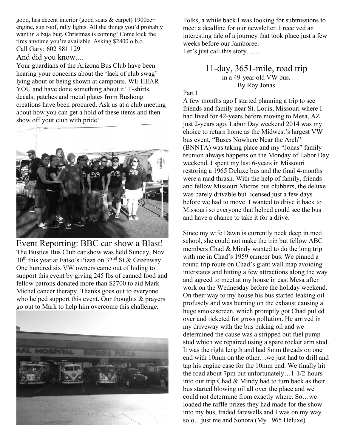good, has decent interior (good seats & carpet) 1900cc+ engine, sun roof, rally lights. All the things you'd probably want in a baja bug. Christmas is coming! Come kick the tires anytime you're available. Asking \$2800 o.b.o. Call Gary: 602 881 1291

#### And did you know....

Your guardians of the Arizona Bus Club have been hearing your concerns about the 'lack of club swag' lying about or being shown at campouts. WE HEAR YOU and have done something about it! T-shirts, decals, patches and metal plates from Bushong creations have been procured. Ask us at a club meeting about how you can get a hold of these items and then show off your club with pride!



Event Reporting: BBC car show a Blast! The Busties Bus Club car show was held Sunday, Nov. 30th this year at Fatso's Pizza on 32nd St & Greenway. One hundred six VW owners came out of hiding to support this event by giving 245 lbs of canned food and fellow patrons donated more than \$2700 to aid Mark Michel cancer therapy. Thanks goes out to everyone who helped support this event. Our thoughts & prayers go out to Mark to help him overcome this challenge.



Folks, a while back I was looking for submissions to meet a deadline for our newsletter. I received an interesting tale of a journey that took place just a few weeks before our Jamboree. Let's just call this story........

> 11-day, 3651-mile, road trip in a 49-year old VW bus. By Roy Jonas

#### Part I

A few months ago I started planning a trip to see friends and family near St. Louis, Missouri where I had lived for 42-years before moving to Mesa, AZ just 2-years ago. Labor Day weekend 2014 was my choice to return home as the Midwest's largest VW bus event, "Buses Nowhere Near the Arch" (BNNTA) was taking place and my "Jonas" family reunion always happens on the Monday of Labor Day weekend. I spent my last 6-years in Missouri restoring a 1965 Deluxe bus and the final 4-months were a mad thrash. With the help of family, friends and fellow Missouri Micros bus clubbers, the deluxe was barely drivable but licensed just a few days before we had to move. I wanted to drive it back to Missouri so everyone that helped could see the bus and have a chance to take it for a drive.

Since my wife Dawn is currently neck deep in med school, she could not make the trip but fellow ABC members Chad & Mindy wanted to do the long trip with me in Chad's 1959 camper bus. We pinned a round trip route on Chad's giant wall map avoiding interstates and hitting a few attractions along the way and agreed to meet at my house in east Mesa after work on the Wednesday before the holiday weekend. On their way to my house his bus started leaking oil profusely and was burning on the exhaust causing a huge smokescreen, which promptly got Chad pulled over and ticketed for gross pollution. He arrived in my driveway with the bus puking oil and we determined the cause was a stripped out fuel pump stud which we repaired using a spare rocker arm stud. It was the right length and had 8mm threads on one end with 10mm on the other…we just had to drill and tap his engine case for the 10mm end. We finally hit the road about 7pm but unfortunately…1-1/2-hours into our trip Chad & Mindy had to turn back as their bus started blowing oil all over the place and we could not determine from exactly where. So…we loaded the raffle prizes they had made for the show into my bus, traded farewells and I was on my way solo…just me and Sonora (My 1965 Deluxe).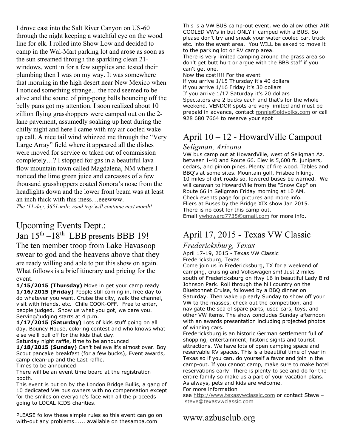I drove east into the Salt River Canyon on US-60 through the night keeping a watchful eye on the wood line for elk. I rolled into Show Low and decided to camp in the Wal-Mart parking lot and arose as soon as the sun streamed through the sparkling clean 21 windows, went in for a few supplies and tested their plumbing then I was on my way. It was somewhere that morning in the high desert near New Mexico when I noticed something strange…the road seemed to be alive and the sound of ping-pong balls bouncing off the belly pans got my attention. I soon realized about 10 zillion flying grasshoppers were camped out on the 2 lane pavement, assumedly soaking up heat during the chilly night and here I came with my air cooled wake up call. A nice tail wind whizzed me through the "Very Large Array" field where it appeared all the dishes were moved for service or taken out of commission completely…? I stopped for gas in a beautiful lava flow mountain town called Magdalena, NM where I noticed the lime green juice and carcasses of a few thousand grasshoppers coated Sonora's nose from the headlights down and the lower front beam was at least an inch thick with this mess…eeewww.

*The '11-day, 3651-mile, road trip'will continue next month!* 

### Upcoming Events Dept.: Jan 15th –18th LBB presents BBB 19!

The ten member troop from Lake Havasoop swear to god and the heavens above that they are ready willing and able to put this show on again. What follows is a brief itinerary and pricing for the event.

**1/15/2015 (Thursday)** Move in get your camp ready **1/16/2015 (Friday)** People still coming in, free day to do whatever you want. Cruise the city, walk the channel, visit with friends, etc. Chile COOK-OFF. Free to enter, people judged. Show us what you got, we dare you. Serving/judging starts at 4 p.m.

**1/17/2015 (Saturday)** Lots of kids stuff going on all day. Bouncy House, coloring contest and who knows what else we'll pull off for the kids that day.

Saturday night raffle, time to be announced

**1/18/2015 (Sunday)** Can't believe it's almost over. Boy Scout pancake breakfast (for a few bucks), Event awards, camp clean-up and the Last raffle.

Times to be announced

There will be an event time board at the registration booth.

This event is put on by the London Bridge Bullis, a gang of 10 dedicated VW bus owners with no compensation except for the smiles on everyone's face with all the proceeds going to LOCAL KIDS charities.

PLEASE follow these simple rules so this event can go on with-out any problems...... available on thesamba.com

This is a VW BUS camp-out event, we do allow other AIR COOLED VW's in but ONLY if camped with a BUS. So please don't try and sneak your water cooled car, truck etc. into the event area. You WILL be asked to move it to the parking lot or RV camp area.

There is very limited camping around the grass area so don't get butt hurt or argue with the BBB staff if you can't get one.

Now the cost!!!! For the event

if you arrive 1/15 Thursday it's 40 dollars if you arrive 1/16 Friday it's 30 dollars If you arrive 1/17 Saturday it's 20 dollars Spectators are 2 bucks each and that's for the whole weekend. VENDOR spots are very limited and must be prepaid in advance, contact ronnie@oldvolks.com or call 928 680 7664 to reserve your spot

# April 10 – 12 - HowardVille Campout

#### *Seligman, Arizona*

VW bus camp out at HowardVille, west of Seligman Az. between I-40 and Route 66. Elev is 5,600 ft. junipers, cedars, and pinion pines. Plenty of fire wood. Tables and BBQ's at some sites. Mountain golf, Frisbee hiking. 10 miles of dirt roads so, lowered buses be warned. We will caravan to HowardVille from the "Snow Cap" on Route 66 in Seligman Friday morning at 10 AM. Check events page for pictures and more info. Fliers at Buses by the Bridge XIX show Jan 2015. There is no cost for this camp out. Email vwhoward7735@gmail.com for more info.

# April 17, 2015 - Texas VW Classic

#### *Fredericksburg, Texas*

April 17-19, 2015 - Texas VW Classic Fredericksburg, Texas

Come join us in Fredericksburg, TX for a weekend of camping, cruising and Volkswagenism! Just 2 miles south of Fredericksburg on Hwy 16 in beautiful Lady Bird Johnson Park. Roll through the hill country on the Bluebonnet Cruise, followed by a BBQ dinner on Saturday. Then wake up early Sunday to show off your VW to the masses, check out the competition, and navigate the sea of spare parts, used cars, toys, and other VW items. The show concludes Sunday afternoon with an awards presentation including projected photos of winning cars.

Fredericksburg is an historic German settlement full of shopping, entertainment, historic sights and tourist attractions. We have lots of open camping space and reservable RV spaces. This is a beautiful time of year in Texas so if you can, do yourself a favor and join in the camp-out. If you cannot camp, make sure to make hotel reservations early! There is plenty to see and do for the entire family so make us a part of your vacation plans. As always, pets and kids are welcome.

#### For more information

see http://www.texasvwclassic.com or contact Steve – steve@texasvwclassic.com

www.azbusclub.org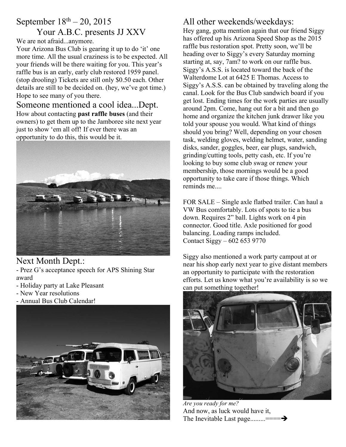# September  $18^{th} - 20$ , 2015

#### Your A.B.C. presents JJ XXV We are not afraid...anymore.

Your Arizona Bus Club is gearing it up to do 'it' one more time. All the usual craziness is to be expected. All your friends will be there waiting for you. This year's raffle bus is an early, early club restored 1959 panel. (stop drooling) Tickets are still only \$0.50 each. Other details are still to be decided on. (hey, we've got time.) Hope to see many of you there.

#### Someone mentioned a cool idea...Dept. How about contacting **past raffle buses** (and their owners) to get them up to the Jamboree site next year just to show 'em all off! If ever there was an opportunity to do this, this would be it.



Next Month Dept.: - Prez G's acceptance speech for APS Shining Star award

- Holiday party at Lake Pleasant
- New Year resolutions
- Annual Bus Club Calendar!



# All other weekends/weekdays:

Hey gang, gotta mention again that our friend Siggy has offered up his Arizona Speed Shop as the 2015 raffle bus restoration spot. Pretty soon, we'll be heading over to Siggy's every Saturday morning starting at, say, 7am? to work on our raffle bus. Siggy's A.S.S. is located toward the back of the Walterdome Lot at 6425 E Thomas. Access to Siggy's A.S.S. can be obtained by traveling along the canal. Look for the Bus Club sandwich board if you get lost. Ending times for the work parties are usually around 2pm. Come, hang out for a bit and then go home and organize the kitchen junk drawer like you told your spouse you would. What kind of things should you bring? Well, depending on your chosen task, welding gloves, welding helmet, water, sanding disks, sander, goggles, beer, ear plugs, sandwich, grinding/cutting tools, petty cash, etc. If you're looking to buy some club swag or renew your membership, those mornings would be a good opportunity to take care if those things. Which reminds me....

FOR SALE – Single axle flatbed trailer. Can haul a VW Bus comfortably. Lots of spots to tie a bus down. Requires 2" ball. Lights work on 4 pin connector. Good title. Axle positioned for good balancing. Loading ramps included. Contact Siggy – 602 653 9770

Siggy also mentioned a work party campout at or near his shop early next year to give distant members an opportunity to participate with the restoration efforts. Let us know what you're availability is so we can put something together!



*Are you ready for me?*  And now, as luck would have it, The Inevitable Last page.........===